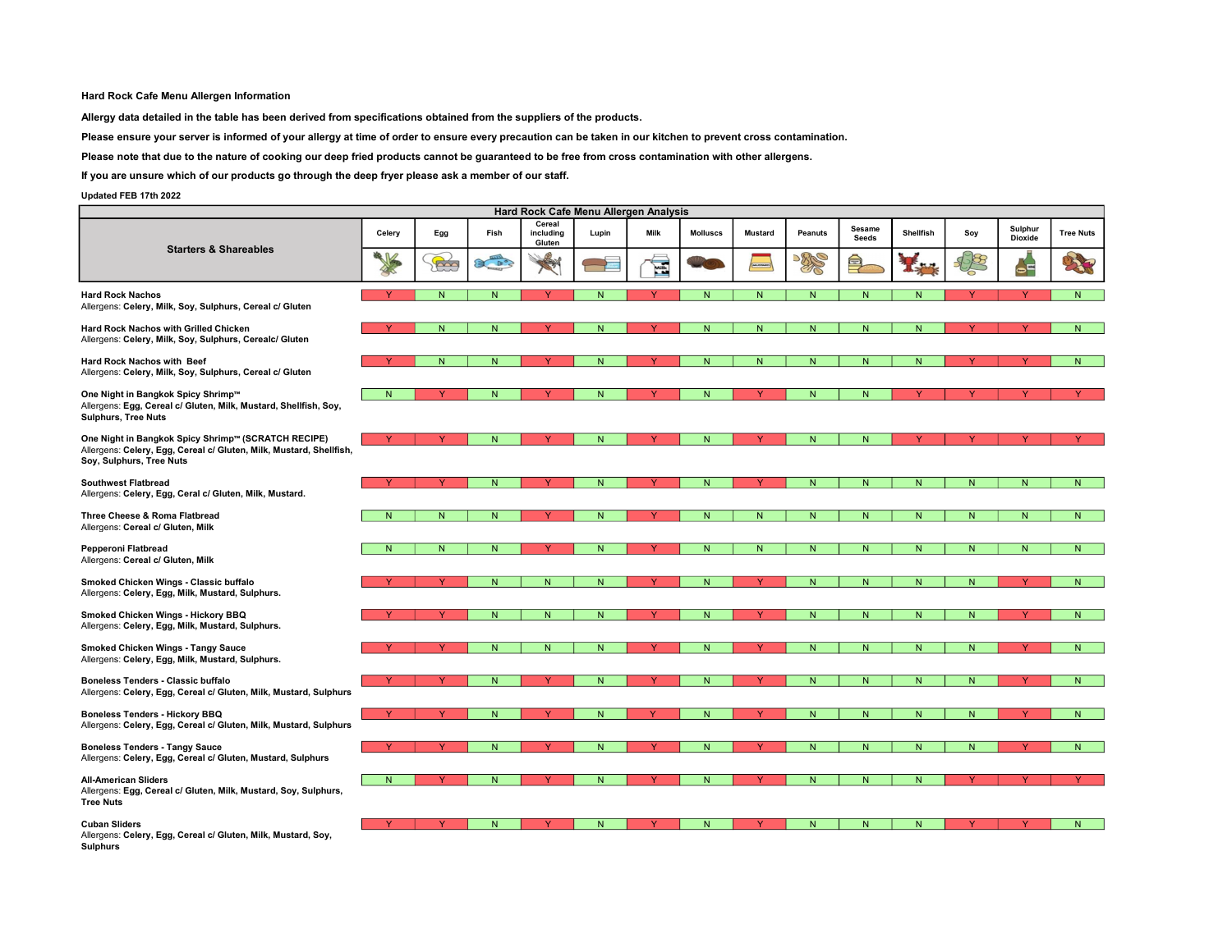## Hard Rock Cafe Menu Allergen Information

Allergy data detailed in the table has been derived from specifications obtained from the suppliers of the products.

Please ensure your server is informed of your allergy at time of order to ensure every precaution can be taken in our kitchen to prevent cross contamination.

Please note that due to the nature of cooking our deep fried products cannot be guaranteed to be free from cross contamination with other allergens.

If you are unsure which of our products go through the deep fryer please ask a member of our staff.

## Updated FEB 17th 2022

| Hard Rock Cafe Menu Allergen Analysis                                                                                                                  |          |                |                |                               |                |              |                 |                |                |                        |                  |                |                           |                  |
|--------------------------------------------------------------------------------------------------------------------------------------------------------|----------|----------------|----------------|-------------------------------|----------------|--------------|-----------------|----------------|----------------|------------------------|------------------|----------------|---------------------------|------------------|
|                                                                                                                                                        | Celery   | Egg            | Fish           | Cereal<br>including<br>Gluten | Lupin          | <b>Milk</b>  | <b>Molluscs</b> | <b>Mustard</b> | Peanuts        | Sesame<br><b>Seeds</b> | <b>Shellfish</b> | Soy            | Sulphur<br><b>Dioxide</b> | <b>Tree Nuts</b> |
| <b>Starters &amp; Shareables</b>                                                                                                                       | K        | <b>RAD</b>     | 20             | X                             | <b>The Co</b>  | E            |                 |                | <b>BRS</b>     | 巪                      |                  |                | $\rightarrow$             | BR.              |
| <b>Hard Rock Nachos</b><br>Allergens: Celery, Milk, Soy, Sulphurs, Cereal c/ Gluten                                                                    |          | $\overline{N}$ | $\overline{N}$ | Ÿ                             | N              | Y            | N               | $\overline{N}$ | $\overline{N}$ | $\overline{N}$         | N                |                | Ÿ                         | N                |
| Hard Rock Nachos with Grilled Chicken<br>Allergens: Celery, Milk, Soy, Sulphurs, Cerealc/ Gluten                                                       |          | N              | $\mathsf{N}$   |                               | N              |              | ${\sf N}$       | N              | ${\sf N}$      | $\mathsf{N}$           | N                |                |                           | N.               |
| Hard Rock Nachos with Beef<br>Allergens: Celery, Milk, Soy, Sulphurs, Cereal c/ Gluten                                                                 |          | N <sub>1</sub> | N              |                               | N <sub>1</sub> | $\vee$       | N               | N              | N.             | N                      | N                |                |                           | N                |
| One Night in Bangkok Spicy Shrimp™<br>Allergens: Egg, Cereal c/ Gluten, Milk, Mustard, Shellfish, Soy,<br><b>Sulphurs, Tree Nuts</b>                   | N        |                | N              |                               | N              |              | ${\sf N}$       |                | N              | N.                     |                  |                |                           |                  |
| One Night in Bangkok Spicy Shrimp™ (SCRATCH RECIPE)<br>Allergens: Celery, Egg, Cereal c/ Gluten, Milk, Mustard, Shellfish,<br>Soy, Sulphurs, Tree Nuts | <b>V</b> |                | $\mathsf{N}$   |                               | N              | $\mathbf{v}$ | N               |                | N.             | N.                     |                  |                | Ÿ                         | <b>Y</b>         |
| <b>Southwest Flatbread</b><br>Allergens: Celery, Egg, Ceral c/ Gluten, Milk, Mustard.                                                                  |          |                | ${\sf N}$      |                               | N              |              | ${\sf N}$       |                | ${\sf N}$      | $\mathsf{N}$           | N                | $\overline{N}$ | $\overline{N}$            | N                |
| Three Cheese & Roma Flatbread<br>Allergens: Cereal c/ Gluten, Milk                                                                                     | N        | N.             | N              |                               | N              | $\vee$       | N               | N.             | N              | N.                     | N.               | N              | N <sub>1</sub>            | N.               |
| Pepperoni Flatbread<br>Allergens: Cereal c/ Gluten, Milk                                                                                               | N        | N              | $\mathsf{N}$   |                               | N              |              | N               | N              | N              | N.                     | N                | N              | N                         | N                |
| Smoked Chicken Wings - Classic buffalo<br>Allergens: Celery, Egg, Milk, Mustard, Sulphurs.                                                             |          |                | N              | N.                            | N              |              | N <sub>1</sub>  |                | N              | N.                     | N                | N              |                           | N                |
| Smoked Chicken Wings - Hickory BBQ<br>Allergens: Celery, Egg, Milk, Mustard, Sulphurs.                                                                 |          |                | $\mathsf{N}$   | N                             | N              |              | ${\sf N}$       |                | ${\sf N}$      | N                      | N                | N              |                           | N                |
| <b>Smoked Chicken Wings - Tangy Sauce</b><br>Allergens: Celery, Egg, Milk, Mustard, Sulphurs.                                                          |          |                | N              | N.                            | N              | <b>Y</b>     | N <sub>1</sub>  |                | N              | N                      | N                | N              | Y                         | N.               |
| <b>Boneless Tenders - Classic buffalo</b><br>Allergens: Celery, Egg, Cereal c/ Gluten, Milk, Mustard, Sulphurs                                         |          |                | ${\sf N}$      |                               | N              |              | ${\sf N}$       |                | N              | N.                     | $\mathsf{N}$     | $\mathsf{N}$   |                           | N                |
| <b>Boneless Tenders - Hickory BBQ</b><br>Allergens: Celery, Egg, Cereal c/ Gluten, Milk, Mustard, Sulphurs                                             | Y        | Y              | N              |                               | N              | v            | N <sub>1</sub>  | v              | N.             | N.                     | N.               | N              | Y                         | N                |
| <b>Boneless Tenders - Tangy Sauce</b><br>Allergens: Celery, Egg, Cereal c/ Gluten, Mustard, Sulphurs                                                   |          |                | ${\sf N}$      |                               | N              |              | ${\sf N}$       |                | ${\sf N}$      | N.                     | $\mathsf{N}$     | N              |                           | N                |
| <b>All-American Sliders</b><br>Allergens: Egg, Cereal c/ Gluten, Milk, Mustard, Soy, Sulphurs,<br><b>Tree Nuts</b>                                     | N        |                | N              |                               | N              |              | N.              |                | N              | N.                     | N                |                |                           |                  |
| <b>Cuban Sliders</b><br>Allergens: Celery, Egg, Cereal c/ Gluten, Milk, Mustard, Soy,                                                                  | Y        |                | N              |                               | N              | Y            | ${\sf N}$       |                | N              | N.                     | N                | Y              | Y                         | N.               |

**Sulphurs**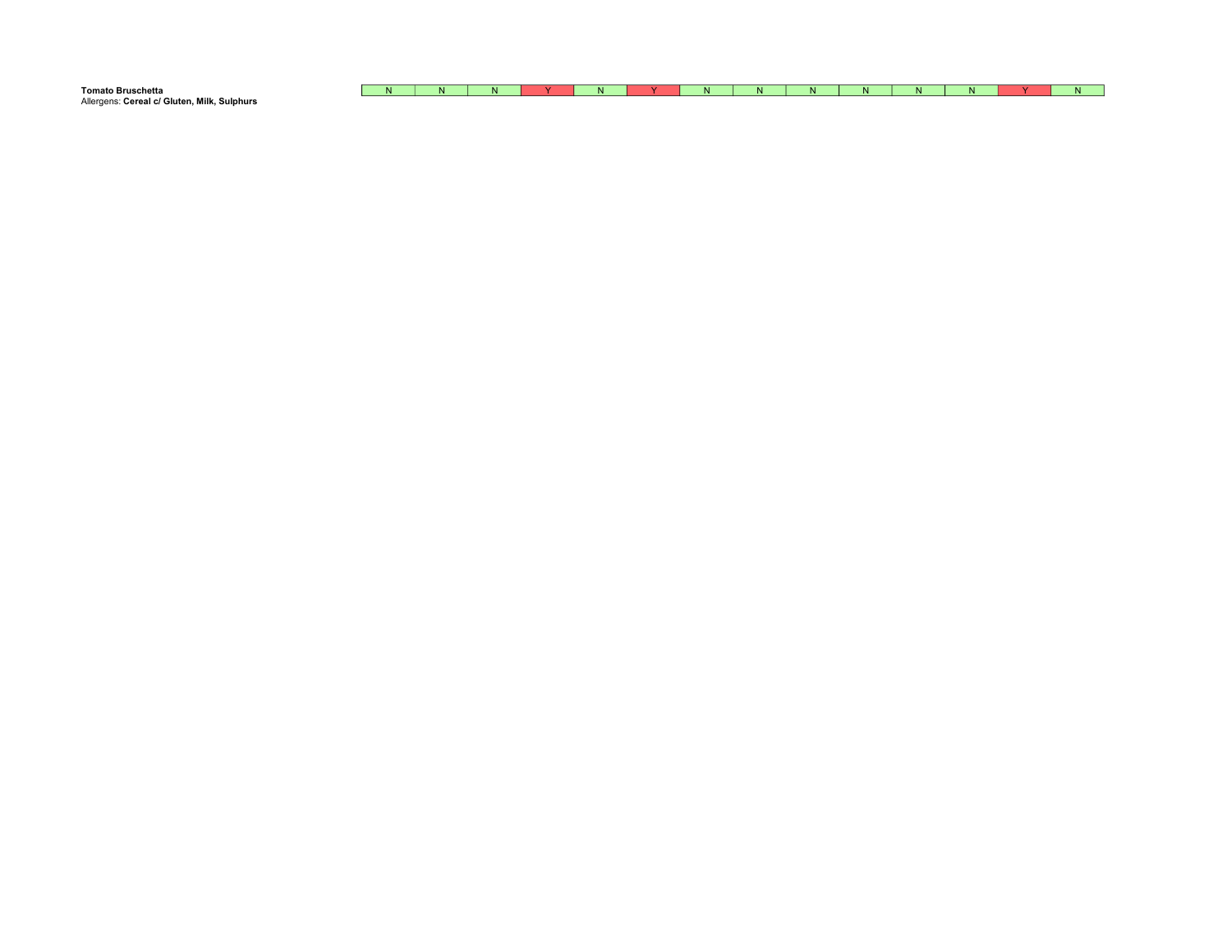| <b>Tomato Bruschetta</b>                    | IN. | - 191 | . . | . . |  | $\sim$ | - 13 |  | w |
|---------------------------------------------|-----|-------|-----|-----|--|--------|------|--|---|
| Allergens: Cereal c/ Gluten, Milk, Sulphurs |     |       |     |     |  |        |      |  |   |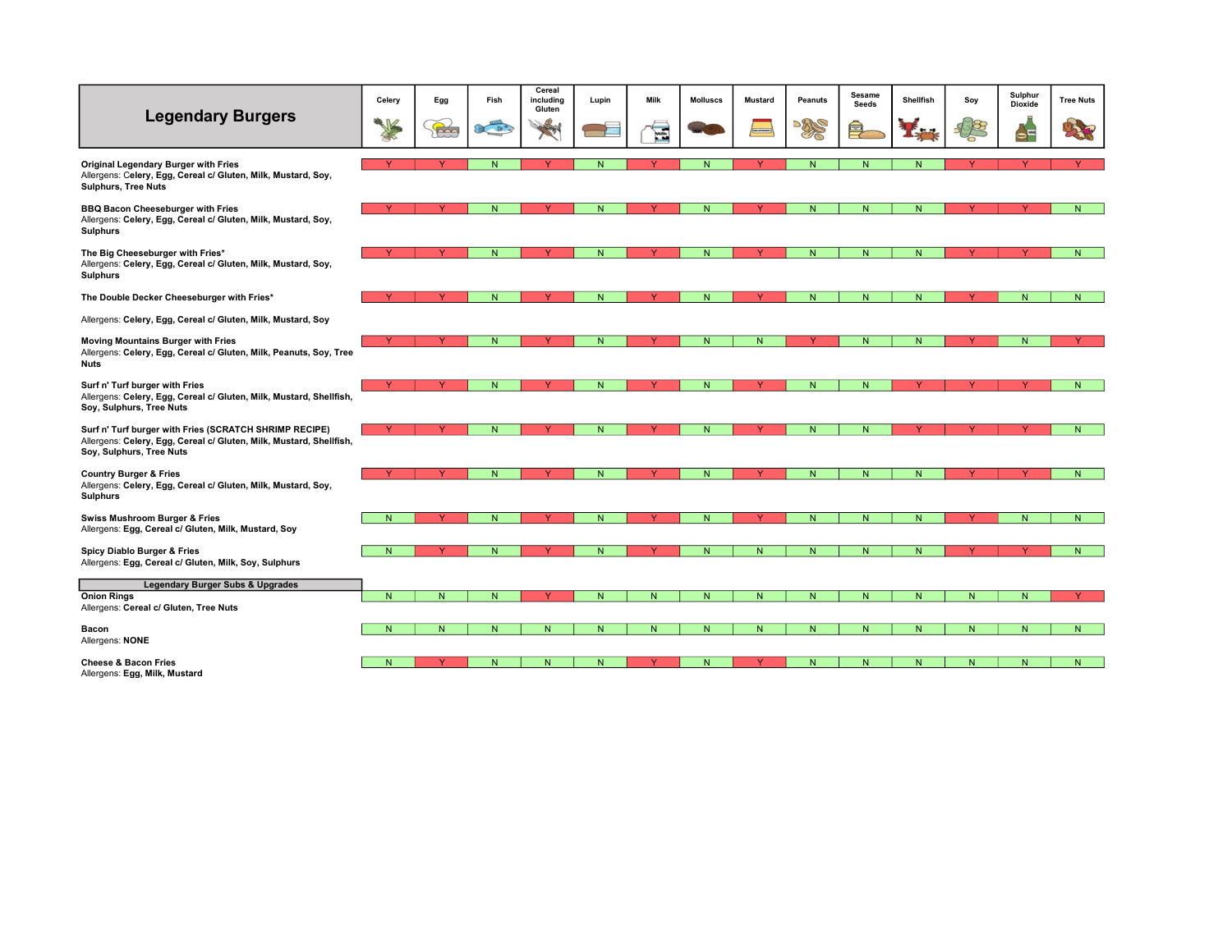|                                                                                                                                                           | Celery         | Egg          | Fish         | Cereal<br>including<br>Gluten | Lupin | Milk | <b>Molluscs</b> | <b>Mustard</b> | <b>Peanuts</b> | Sesame<br>Seeds | Shellfish    | Soy    | Sulphur<br><b>Dioxide</b> | <b>Tree Nuts</b> |
|-----------------------------------------------------------------------------------------------------------------------------------------------------------|----------------|--------------|--------------|-------------------------------|-------|------|-----------------|----------------|----------------|-----------------|--------------|--------|---------------------------|------------------|
| <b>Legendary Burgers</b>                                                                                                                                  |                | B            | $x^2$        | ₩                             |       | E    |                 |                | PRE            | 巪               |              |        | $\overline{\phantom{a}}$  |                  |
| Original Legendary Burger with Fries<br>Allergens: Celery, Egg, Cereal c/ Gluten, Milk, Mustard, Soy,<br><b>Sulphurs, Tree Nuts</b>                       |                |              | N            |                               | N.    |      | N               |                | N              | N.              | N            |        |                           |                  |
| <b>BBQ Bacon Cheeseburger with Fries</b><br>Allergens: Celery, Egg, Cereal c/ Gluten, Milk, Mustard, Soy,<br><b>Sulphurs</b>                              |                |              | N            |                               | N.    |      | N               |                | N              | N.              | N.           |        |                           | N.               |
| The Big Cheeseburger with Fries*<br>Allergens: Celery, Egg, Cereal c/ Gluten, Milk, Mustard, Soy,<br><b>Sulphurs</b>                                      |                |              | $\mathsf{N}$ |                               | N.    |      | $\mathsf{N}$    |                | N              | $\mathsf{N}$    | $\mathsf{N}$ |        |                           | N                |
| The Double Decker Cheeseburger with Fries*                                                                                                                |                |              | N            |                               | N     |      | N               | $\checkmark$   | N              | N.              | N            |        | N                         | N                |
| Allergens: Celery, Egg, Cereal c/ Gluten, Milk, Mustard, Soy                                                                                              |                |              |              |                               |       |      |                 |                |                |                 |              |        |                           |                  |
| Moving Mountains Burger with Fries<br>Allergens: Celery, Egg, Cereal c/ Gluten, Milk, Peanuts, Soy, Tree<br>Nuts                                          |                |              | N            |                               | N.    |      | ${\sf N}$       | N              |                | N.              | N            |        | N                         |                  |
| Surf n' Turf burger with Fries<br>Allergens: Celery, Egg, Cereal c/ Gluten, Milk, Mustard, Shellfish,<br>Soy, Sulphurs, Tree Nuts                         |                |              | N.           |                               | N.    |      | N               |                | N              | N <sub>1</sub>  |              |        |                           | N                |
| Surf n' Turf burger with Fries (SCRATCH SHRIMP RECIPE)<br>Allergens: Celery, Egg, Cereal c/ Gluten, Milk, Mustard, Shellfish,<br>Soy, Sulphurs, Tree Nuts |                | Y            | N            |                               | N     |      | $\mathsf{N}$    |                | ${\sf N}$      | $\mathsf{N}$    |              |        |                           | N.               |
| <b>Country Burger &amp; Fries</b><br>Allergens: Celery, Egg, Cereal c/ Gluten, Milk, Mustard, Soy,<br><b>Sulphurs</b>                                     |                | $\checkmark$ | N            |                               | N     |      | ${\sf N}$       |                | N              | N               | N.           |        |                           | N.               |
| <b>Swiss Mushroom Burger &amp; Fries</b><br>Allergens: Egg, Cereal c/ Gluten, Milk, Mustard, Soy                                                          | N.             | <b>Y</b>     | N            | $\vee$                        | N     | Y    | N               | Y              | N              | N.              | N            | $\vee$ | N                         | N                |
| Spicy Diablo Burger & Fries<br>Allergens: Egg, Cereal c/ Gluten, Milk, Soy, Sulphurs                                                                      | N.             | Y            | N            | v                             | N     |      | ${\sf N}$       | ${\sf N}$      | ${\sf N}$      | $\mathsf{N}$    | $\mathsf{N}$ |        |                           | N.               |
| Legendary Burger Subs & Upgrades                                                                                                                          |                |              |              |                               |       |      |                 |                |                |                 |              |        |                           |                  |
| <b>Onion Rings</b><br>Allergens: Cereal c/ Gluten, Tree Nuts                                                                                              | N <sub>1</sub> | N            | N            |                               | N     | N    | N               | N              | N              | N               | N.           | N      | N                         | Y                |
| Bacon<br>Allergens: NONE                                                                                                                                  | N.             | ${\sf N}$    | N            | ${\sf N}$                     | N     | N    | $\mathsf{N}$    | ${\sf N}$      | N              | $\mathsf{N}$    | $\mathsf{N}$ | N      | N                         | N.               |
| <b>Cheese &amp; Bacon Fries</b><br>Allergens: Egg, Milk, Mustard                                                                                          | N              | Ÿ            | N.           | N.                            | N.    |      | N <sub>1</sub>  |                | N              | N.              | N.           | N.     | N                         | N.               |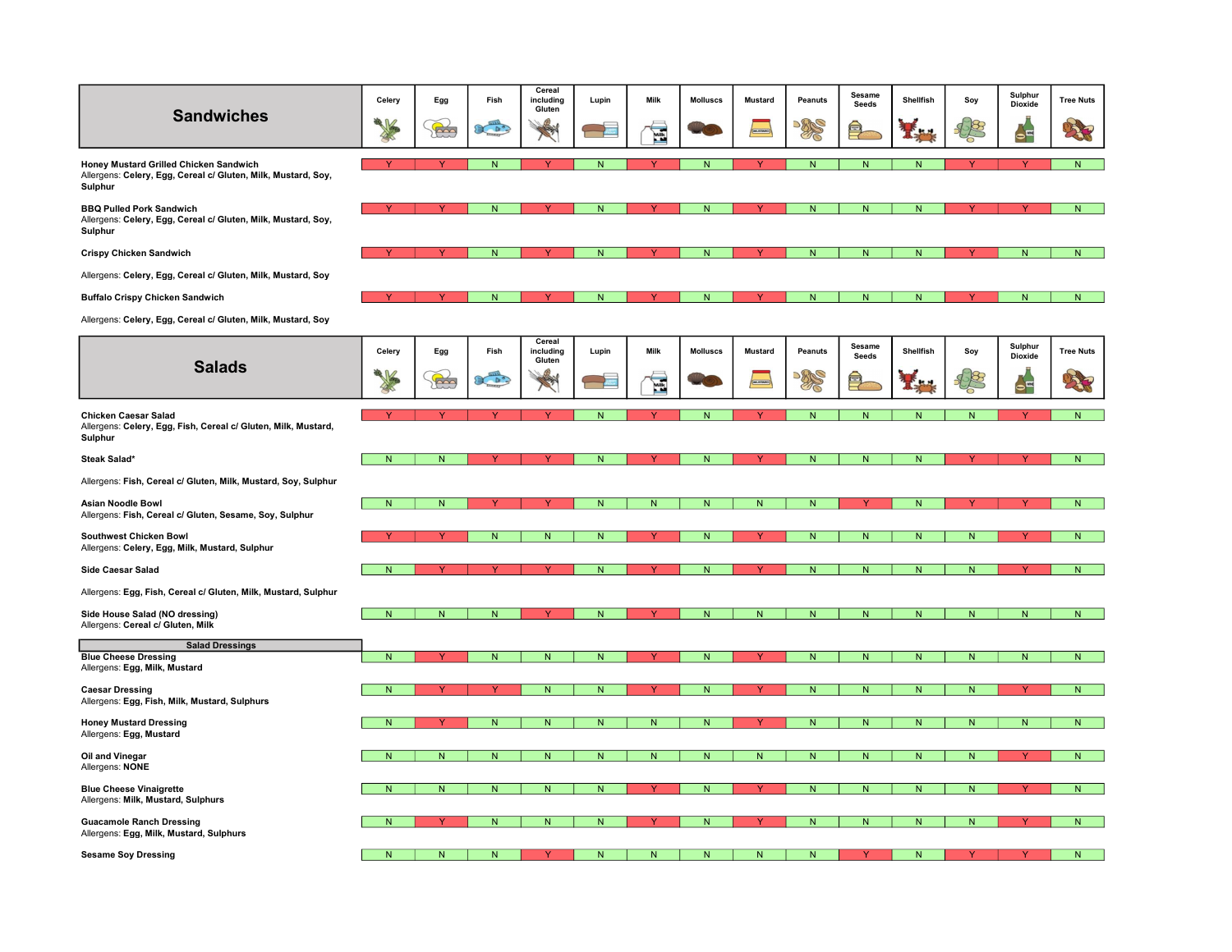| <b>Sandwiches</b>                                                                                           | Celery       | Egg<br>to    | Fish<br>20 <sup>o</sup> | Cereal<br>including<br>Gluten<br>3 | Lupin                   | Milk<br>É    | <b>Molluscs</b> | <b>Mustard</b> | Peanuts<br><b>DRAGO</b> | Sesame<br>Seeds | Shellfish      | Soy       | Sulphur<br>Dioxide<br>$\bullet^{\Xi}$ | <b>Tree Nuts</b> |
|-------------------------------------------------------------------------------------------------------------|--------------|--------------|-------------------------|------------------------------------|-------------------------|--------------|-----------------|----------------|-------------------------|-----------------|----------------|-----------|---------------------------------------|------------------|
| Honey Mustard Grilled Chicken Sandwich                                                                      |              |              | N                       | Y                                  | ${\sf N}$               | $\mathbf{v}$ | N               |                | N                       | N               | $\mathsf{N}$   |           |                                       | N                |
| Allergens: Celery, Egg, Cereal c/ Gluten, Milk, Mustard, Soy,<br>Sulphur                                    |              |              |                         |                                    |                         |              |                 |                |                         |                 |                |           |                                       |                  |
| <b>BBQ Pulled Pork Sandwich</b><br>Allergens: Celery, Egg, Cereal c/ Gluten, Milk, Mustard, Soy,<br>Sulphur |              |              | N                       |                                    | N.                      |              | N               |                | Ñ                       |                 |                |           |                                       | N                |
| <b>Crispy Chicken Sandwich</b>                                                                              |              |              | ${\sf N}$               | <b>Y</b>                           | ${\sf N}$               |              | ${\sf N}$       |                | ${\sf N}$               | ${\sf N}$       | ${\sf N}$      |           | ${\sf N}$                             | N                |
| Allergens: Celery, Egg, Cereal c/ Gluten, Milk, Mustard, Soy                                                |              |              |                         |                                    |                         |              |                 |                |                         |                 |                |           |                                       |                  |
| <b>Buffalo Crispy Chicken Sandwich</b>                                                                      |              |              | N                       | Y                                  | N.                      | Ÿ            | N               |                | N                       | N               | N              | v         | N                                     | $\mathsf{N}$     |
| Allergens: Celery, Egg, Cereal c/ Gluten, Milk, Mustard, Soy                                                |              |              |                         |                                    |                         |              |                 |                |                         |                 |                |           |                                       |                  |
|                                                                                                             | Celery       | Egg          | Fish                    | Cereal<br>including<br>Gluten      | Lupin                   | Milk         | <b>Molluscs</b> | <b>Mustard</b> | Peanuts                 | Sesame<br>Seeds | Shellfish      | Soy       | Sulphur<br>Dioxide                    | <b>Tree Nuts</b> |
| <b>Salads</b>                                                                                               |              | $\mathbb{R}$ | 20 <sup>o</sup>         | P                                  |                         | É            |                 |                | <b>DRAGO</b>            |                 |                |           | $\bullet^{\Xi}$                       | 发展               |
| <b>Chicken Caesar Salad</b><br>Allergens: Celery, Egg, Fish, Cereal c/ Gluten, Milk, Mustard,<br>Sulphur    |              |              |                         |                                    | N                       |              | N               |                | N                       | N <sub>1</sub>  | N <sub>1</sub> | N         |                                       | N                |
| Steak Salad*                                                                                                | N            | N            |                         |                                    | N.                      |              | N               |                | N                       | N               | N              |           |                                       | ${\sf N}$        |
| Allergens: Fish, Cereal c/ Gluten, Milk, Mustard, Soy, Sulphur                                              |              |              |                         |                                    |                         |              |                 |                |                         |                 |                |           |                                       |                  |
| <b>Asian Noodle Bowl</b><br>Allergens: Fish, Cereal c/ Gluten, Sesame, Soy, Sulphur                         | $\mathsf{N}$ | ${\sf N}$    |                         |                                    | N                       | N            | ${\sf N}$       | ${\sf N}$      | N                       |                 | $\mathsf{N}$   |           |                                       | N                |
| <b>Southwest Chicken Bowl</b><br>Allergens: Celery, Egg, Milk, Mustard, Sulphur                             |              |              | N                       | $\mathsf{N}$                       | N.                      | Ÿ            | N               |                | ${\sf N}$               | N               | $\mathsf{N}$   | N         |                                       | $\overline{N}$   |
| <b>Side Caesar Salad</b>                                                                                    | N            |              |                         |                                    | N                       |              | N               |                | N                       | N               | N              | N         |                                       | N                |
| Allergens: Egg, Fish, Cereal c/ Gluten, Milk, Mustard, Sulphur                                              |              |              |                         |                                    |                         |              |                 |                |                         |                 |                |           |                                       |                  |
| Side House Salad (NO dressing)<br>Allergens: Cereal c/ Gluten, Milk                                         | N            | N            | N                       |                                    | N.                      |              | N               | N              | N                       | N               | N              | N         | N                                     | ${\sf N}$        |
| <b>Salad Dressings</b>                                                                                      |              |              |                         |                                    |                         |              |                 |                |                         |                 |                |           |                                       |                  |
| <b>Blue Cheese Dressing</b><br>Allergens: Egg, Milk, Mustard                                                | N            |              | N                       | N                                  | N                       |              | N               |                | N                       | N               | N              | N         |                                       | $\mathsf{N}$     |
| <b>Caesar Dressing</b><br>Allergens: Egg, Fish, Milk, Mustard, Sulphurs                                     | ${\sf N}$    |              |                         | ${\sf N}$                          | $\overline{\mathsf{N}}$ |              | ${\sf N}$       |                | N                       | ${\sf N}$       | ${\sf N}$      | ${\sf N}$ |                                       | N                |
| <b>Honey Mustard Dressing</b><br>Allergens: Egg, Mustard                                                    | N            |              | N                       | ${\sf N}$                          | N.                      | N            | N               |                | N                       | N.              | N              | N         | N                                     | N                |
| Oil and Vinegar<br>Allergens: NONE                                                                          | N            | N            | N                       | $\mathsf{N}$                       | N.                      | N            | N               | N              | N                       | N               | N              | N         |                                       | ${\sf N}$        |
| <b>Blue Cheese Vinaigrette</b><br>Allergens: Milk, Mustard, Sulphurs                                        | N            | ${\sf N}$    | N                       | ${\sf N}$                          | N                       |              | N.              |                | N                       | N               | ${\sf N}$      | N.        |                                       | N                |
| <b>Guacamole Ranch Dressing</b><br>Allergens: Egg, Milk, Mustard, Sulphurs                                  | N            |              | N.                      | N                                  | N.                      |              | N               |                | N                       | N               | N              | N         |                                       | N                |
| <b>Sesame Soy Dressing</b>                                                                                  | N            | N            |                         |                                    |                         |              |                 |                |                         |                 |                |           |                                       | ${\sf N}$        |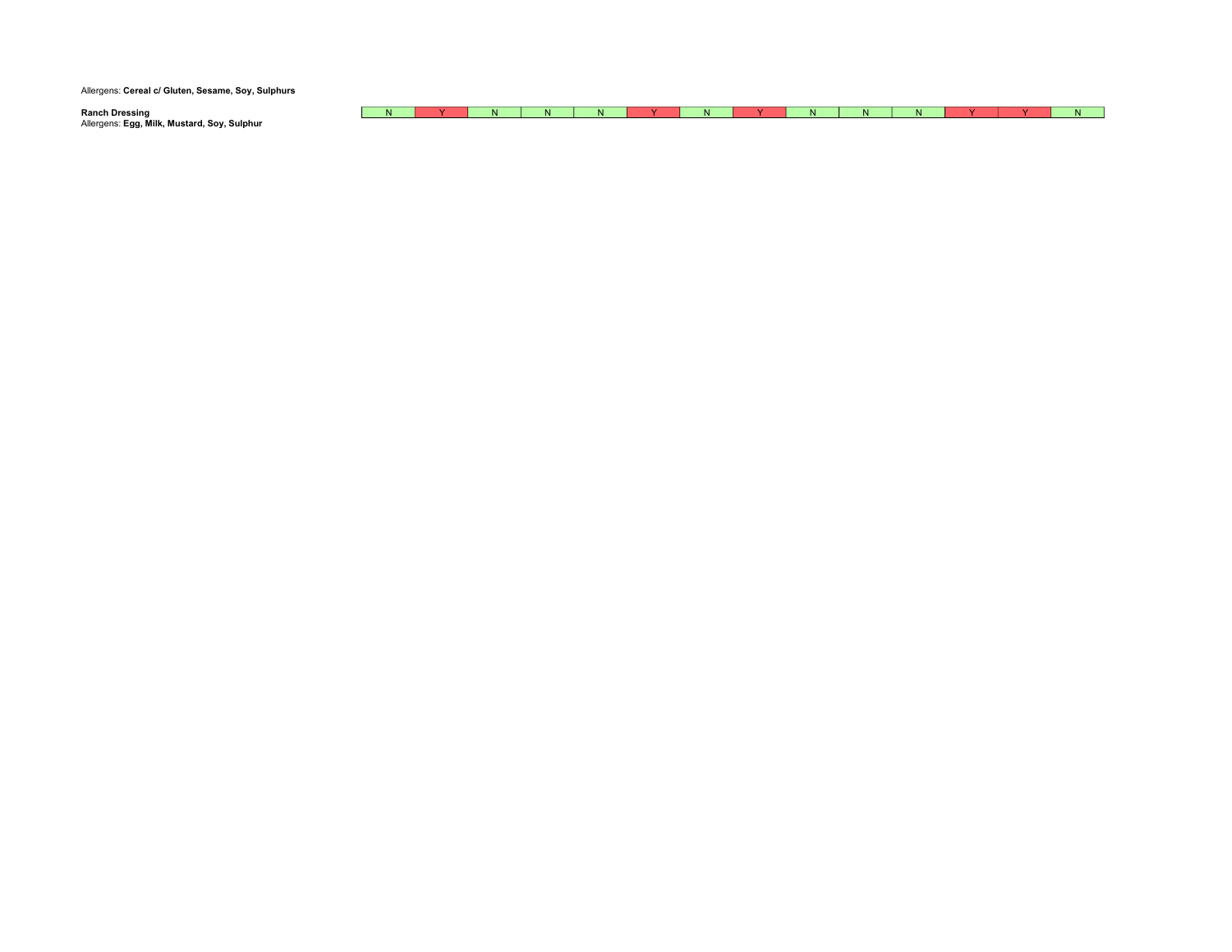Allergens: Cereal c/ Gluten, Sesame, Soy, Sulphurs

| Ranch Dressing                              | IN. |  | N. | $\mathbf{r}$ |  | N |  |  |  |
|---------------------------------------------|-----|--|----|--------------|--|---|--|--|--|
| Allergens: Egg, Milk, Mustard, Soy, Sulphur |     |  |    |              |  |   |  |  |  |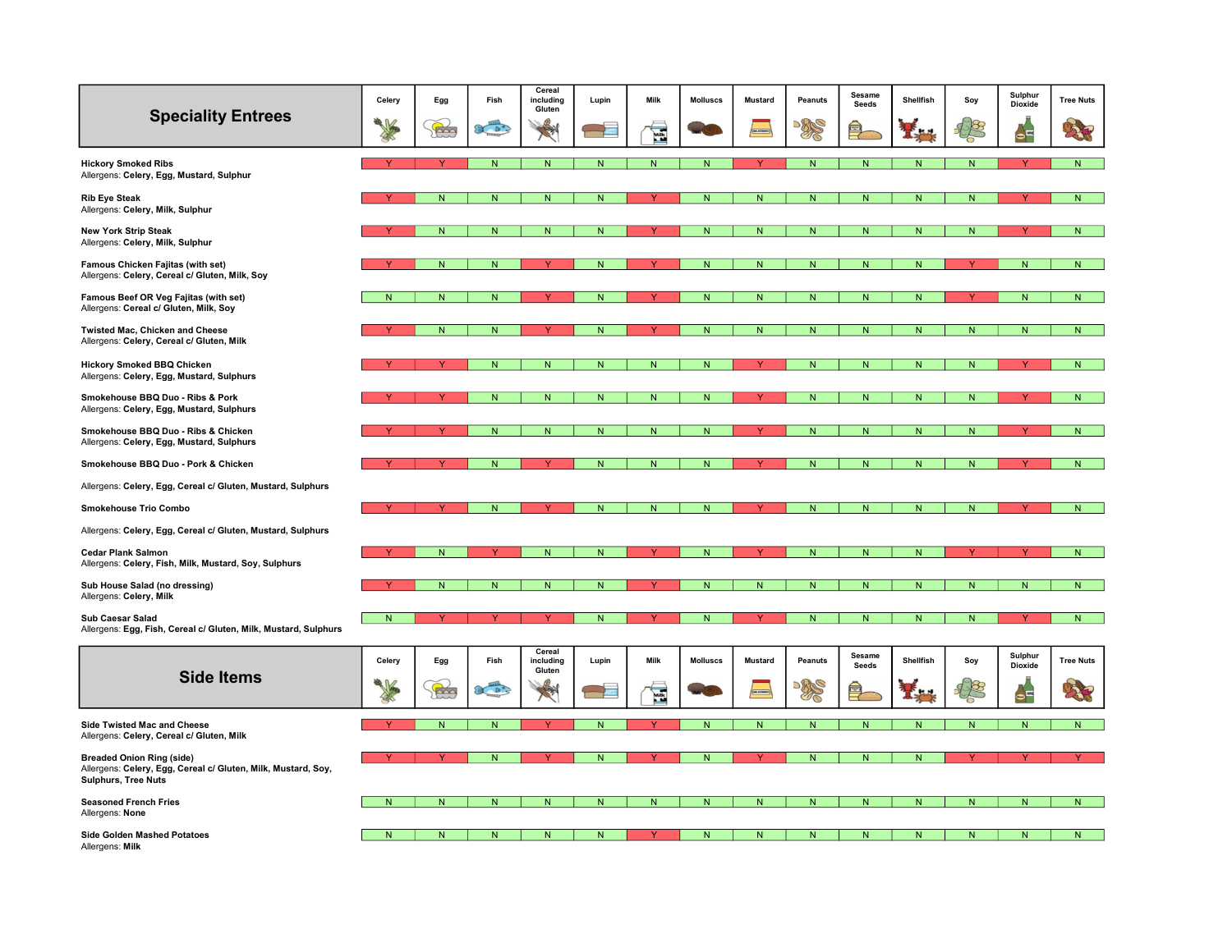| <b>Speciality Entrees</b>                                                                                                       | Celery         | Egg            | Fish            | Cereal<br>including<br>Gluten | Lupin                    | Milk           | <b>Molluscs</b>         | <b>Mustard</b> | Peanuts        | Sesame<br>Seeds | Shellfish      | Soy            | Sulphur<br><b>Dioxide</b> | <b>Tree Nuts</b> |
|---------------------------------------------------------------------------------------------------------------------------------|----------------|----------------|-----------------|-------------------------------|--------------------------|----------------|-------------------------|----------------|----------------|-----------------|----------------|----------------|---------------------------|------------------|
|                                                                                                                                 |                | $\mathbb{R}$   | 20 <sup>o</sup> | 3                             |                          | E              |                         |                | $\mathbb{Z}$   | 巪               |                |                | $\sum_{i=1}^{n}$          | 海                |
| <b>Hickory Smoked Ribs</b><br>Allergens: Celery, Egg, Mustard, Sulphur                                                          |                |                | N               | ${\sf N}$                     | N <sub>1</sub>           | N <sub>1</sub> | N                       |                | N              | ${\sf N}$       | N              | N <sub>1</sub> |                           | N                |
| <b>Rib Eye Steak</b><br>Allergens: Celery, Milk, Sulphur                                                                        |                | ${\sf N}$      | ${\sf N}$       | ${\sf N}$                     | ${\sf N}$                |                | ${\sf N}$               | ${\sf N}$      | ${\sf N}$      | ${\sf N}$       | $\mathsf{N}$   | $\mathsf{N}$   |                           | ${\sf N}$        |
| <b>New York Strip Steak</b><br>Allergens: Celery, Milk, Sulphur                                                                 |                | N <sub>1</sub> | N               | ${\sf N}$                     | N.                       |                | N                       | N              | ${\sf N}$      | N               | N              | N.             |                           | N                |
| Famous Chicken Fajitas (with set)<br>Allergens: Celery, Cereal c/ Gluten, Milk, Soy                                             |                | N <sub>1</sub> | N               |                               | N.                       |                | N                       | ${\sf N}$      | N              | ${\sf N}$       | N              |                | N                         | N                |
| Famous Beef OR Veg Fajitas (with set)<br>Allergens: Cereal c/ Gluten, Milk, Soy                                                 | N              | ${\sf N}$      | $\mathsf{N}$    |                               | N                        |                | N                       | ${\sf N}$      | N              | N               | N              |                | N                         | ${\sf N}$        |
| Twisted Mac, Chicken and Cheese<br>Allergens: Celery, Cereal c/ Gluten, Milk                                                    |                | N              | $\mathsf{N}$    |                               | N.                       |                | N                       | N.             | N              | N               | N              | Ń              | N                         | $\overline{N}$   |
| Hickory Smoked BBQ Chicken<br>Allergens: Celery, Egg, Mustard, Sulphurs                                                         |                | Y              | N               | ${\sf N}$                     | N.                       | N              | $\mathsf{N}$            | Y              | $\mathsf{N}$   | N               | N.             | N              |                           | N                |
| Smokehouse BBQ Duo - Ribs & Pork<br>Allergens: Celery, Egg, Mustard, Sulphurs                                                   |                |                | $\overline{N}$  | $\overline{N}$                | N                        | N              | N                       |                | N              | ${\sf N}$       | N              | N              |                           | $\overline{N}$   |
| Smokehouse BBQ Duo - Ribs & Chicken<br>Allergens: Celery, Egg, Mustard, Sulphurs                                                |                |                | ${\sf N}$       | ${\sf N}$                     | N                        | N              | N                       |                | N              | N               | N              | N              |                           | ${\sf N}$        |
| Smokehouse BBQ Duo - Pork & Chicken                                                                                             |                |                | N.              |                               | Ń                        |                | N                       |                | N              | N               | N              | Ñ              |                           | $\mathsf{N}$     |
| Allergens: Celery, Egg, Cereal c/ Gluten, Mustard, Sulphurs                                                                     |                |                |                 |                               |                          |                |                         |                |                |                 |                |                |                           |                  |
| <b>Smokehouse Trio Combo</b>                                                                                                    |                |                | N               |                               | N.                       | ${\sf N}$      | $\mathsf{N}$            |                | ${\sf N}$      | ${\sf N}$       | $\mathsf{N}$   | N              |                           | N                |
| Allergens: Celery, Egg, Cereal c/ Gluten, Mustard, Sulphurs                                                                     |                |                |                 |                               |                          |                |                         |                |                |                 |                |                |                           |                  |
| <b>Cedar Plank Salmon</b><br>Allergens: Celery, Fish, Milk, Mustard, Soy, Sulphurs                                              |                | $\overline{N}$ | Y               | $\overline{N}$                | $\overline{N}$           |                | $\overline{\mathsf{N}}$ | $\mathbf{v}$   | $\overline{N}$ | $\overline{N}$  | $\overline{N}$ | v              |                           | N                |
| Sub House Salad (no dressing)<br>Allergens: Celery, Milk                                                                        |                | N              | $\mathsf{N}$    | ${\sf N}$                     | N                        |                | N                       | N.             | N              | N               | N              | N              | N                         | ${\sf N}$        |
| Sub Caesar Salad<br>Allergens: Egg, Fish, Cereal c/ Gluten, Milk, Mustard, Sulphurs                                             | $\overline{N}$ |                |                 |                               | ${\sf N}$                |                | N                       |                | N              | N               | N              | Ñ              |                           | ${\sf N}$        |
| <b>Side Items</b>                                                                                                               | Celery         | Egg            | Fish            | Cereal<br>including<br>Gluten | Lupin                    | Milk           | <b>Molluscs</b>         | <b>Mustard</b> | Peanuts        | Sesame<br>Seeds | Shellfish      | Soy            | Sulphur<br><b>Dioxide</b> | <b>Tree Nuts</b> |
|                                                                                                                                 |                | $\mathbb{R}$   | Company         | 2                             | $\overline{\phantom{a}}$ | É              |                         | MUSWAG         | PRS            | 拿               |                |                | $\rightarrow$             | 大地               |
| Side Twisted Mac and Cheese<br>Allergens: Celery, Cereal c/ Gluten, Milk                                                        |                | $\overline{N}$ | N               |                               | N                        |                | N                       | N              | ${\sf N}$      | ${\sf N}$       | $\mathsf{N}$   | N              | N                         | N                |
| <b>Breaded Onion Ring (side)</b><br>Allergens: Celery, Egg, Cereal c/ Gluten, Milk, Mustard, Soy,<br><b>Sulphurs, Tree Nuts</b> |                | Y              | ${\sf N}$       | Y                             | N.                       |                | ${\sf N}$               | Y              | ${\sf N}$      | ${\sf N}$       | ${\sf N}$      |                |                           | $\overline{Y}$   |
| <b>Seasoned French Fries</b><br>Allergens: None                                                                                 | N              | ${\sf N}$      | N               | ${\sf N}$                     | N                        | N              | $\mathsf{N}$            | N              | ${\sf N}$      | ${\sf N}$       | $\mathsf{N}$   | N              | N                         | N                |
| <b>Side Golden Mashed Potatoes</b><br>Allergens: Milk                                                                           | N              | N.             | N.              | N                             | N                        |                | N                       | N.             | N              | N               | N              |                |                           | N                |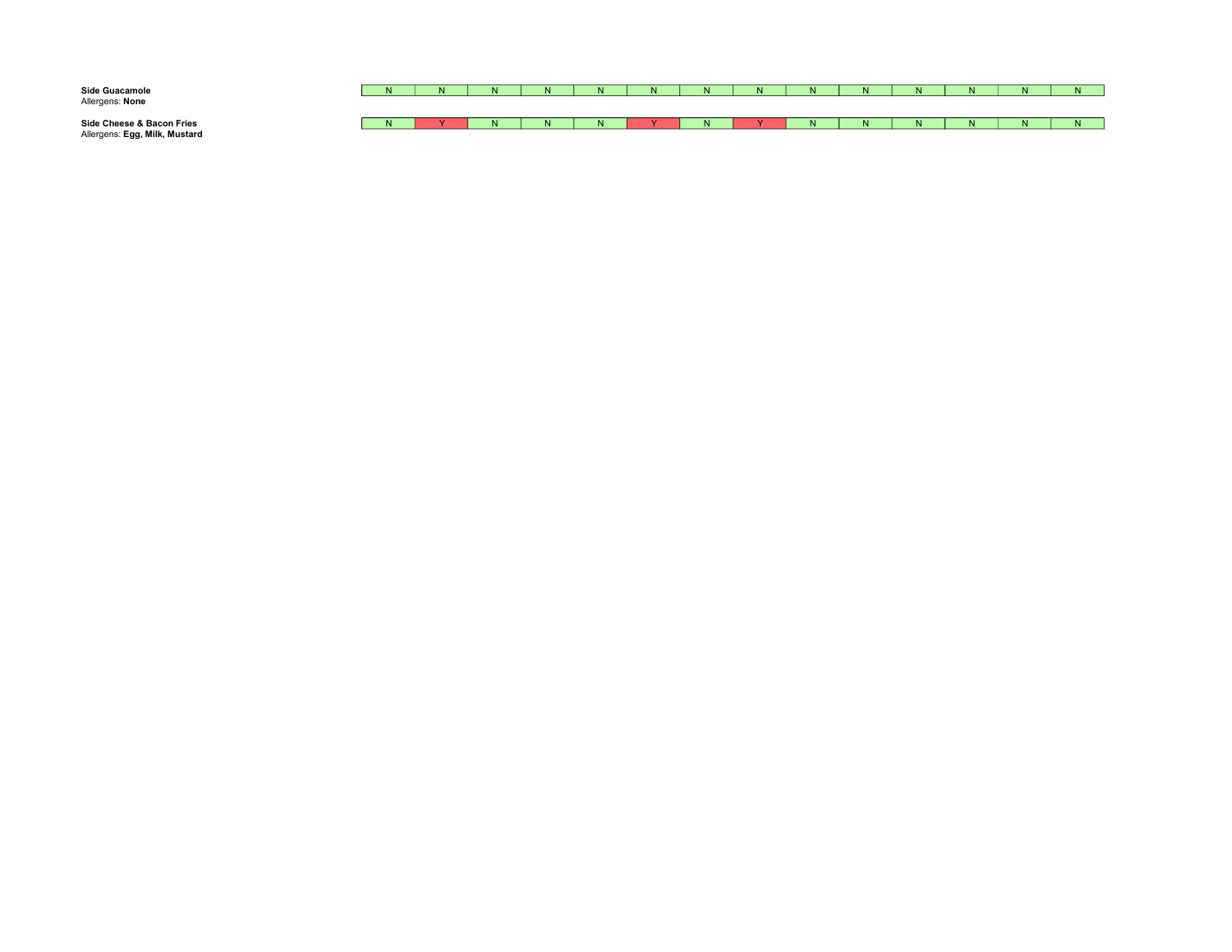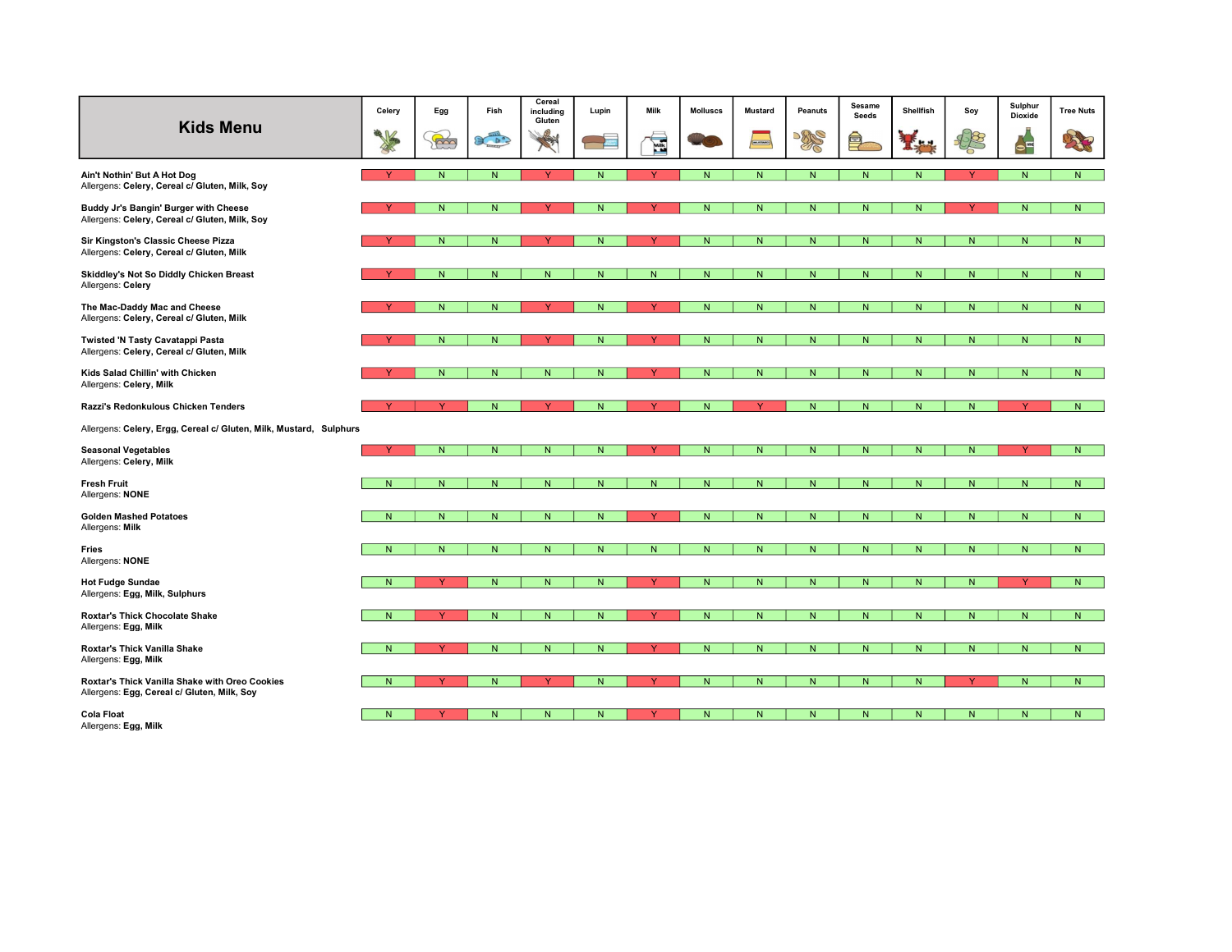| <b>Kids Menu</b>                                                                              | Celery         | Egg          | Fish           | Cereal<br>including<br>Gluten | Lupin                   | Milk           | <b>Molluscs</b> | <b>Mustard</b> | <b>Peanuts</b> | Sesame<br><b>Seeds</b> | Shellfish | Soy          | Sulphur<br>Dioxide | <b>Tree Nuts</b> |
|-----------------------------------------------------------------------------------------------|----------------|--------------|----------------|-------------------------------|-------------------------|----------------|-----------------|----------------|----------------|------------------------|-----------|--------------|--------------------|------------------|
|                                                                                               |                | to           | 20             | 4                             | $\overline{R}$          | E              |                 | musses         | <b>BRS</b>     | 皀                      |           |              | $\leftarrow$       | 海                |
| Ain't Nothin' But A Hot Dog<br>Allergens: Celery, Cereal c/ Gluten, Milk, Soy                 |                | $\mathsf{N}$ | N              | $\vee$                        | N                       |                | N               | N              | ${\sf N}$      | N                      | N.        |              | N                  | N                |
| Buddy Jr's Bangin' Burger with Cheese<br>Allergens: Celery, Cereal c/ Gluten, Milk, Soy       |                | N.           | ${\sf N}$      | $\vee$                        | $\mathsf{N}$            |                | $\mathsf{N}$    | ${\sf N}$      | ${\sf N}$      | ${\sf N}$              | N.        | v            | ${\sf N}$          | $\overline{N}$   |
| Sir Kingston's Classic Cheese Pizza<br>Allergens: Celery, Cereal c/ Gluten, Milk              |                | N.           | N              | $\vee$                        | N                       |                | N               | N              | N              | N                      | N.        | N.           | N                  | N                |
| Skiddley's Not So Diddly Chicken Breast<br>Allergens: Celery                                  |                | N            | N              | $\overline{N}$                | N                       | N              | $\overline{N}$  | ${\sf N}$      | N              | N                      | N         | N.           | N                  | N                |
| The Mac-Daddy Mac and Cheese<br>Allergens: Celery, Cereal c/ Gluten, Milk                     |                | N.           | N              |                               | N                       |                | N               | ${\sf N}$      | N              | N                      | N.        | N            | N                  | $\mathsf{N}$     |
| Twisted 'N Tasty Cavatappi Pasta<br>Allergens: Celery, Cereal c/ Gluten, Milk                 |                | N            | N              | Y                             | N                       | $\vee$         | N               | N              | ${\sf N}$      | N                      | N         | $\mathsf{N}$ | N                  | N                |
| Kids Salad Chillin' with Chicken<br>Allergens: Celery, Milk                                   |                | N            | N              | ${\sf N}$                     | $\overline{N}$          |                | N.              | ${\sf N}$      | ${\sf N}$      | ${\sf N}$              | N.        | N.           | N                  | N                |
| Razzi's Redonkulous Chicken Tenders                                                           |                | Y            | N              | Y                             | N                       | Y              | $\mathsf{N}$    | Y              | N              | N                      | N         | N            | Y                  | $\mathsf{N}$     |
| Allergens: Celery, Ergg, Cereal c/ Gluten, Milk, Mustard, Sulphurs                            |                |              |                |                               |                         |                |                 |                |                |                        |           |              |                    |                  |
| <b>Seasonal Vegetables</b><br>Allergens: Celery, Milk                                         | $\vee$         | N            | N              | ${\sf N}$                     | N                       | <b>Y</b>       | ${\sf N}$       | N              | N.             | N                      | ${\sf N}$ | N            | <b>Y</b>           | N                |
| <b>Fresh Fruit</b><br>Allergens: NONE                                                         | N              | N            | N              | N                             | N                       | N              | N               | N              | N              | N                      | N         | N.           | N                  | N                |
| <b>Golden Mashed Potatoes</b><br>Allergens: Milk                                              | N.             | N            | N              | ${\sf N}$                     | ${\sf N}$               | Y              | ${\sf N}$       | ${\bf N}$      | N              | N                      | N.        | N            | N                  | $\overline{N}$   |
| Fries<br>Allergens: NONE                                                                      | N              | N            | N              | N                             | N                       | N <sub>1</sub> | N               | N              | ${\sf N}$      | N                      | N.        | N.           | N                  | N.               |
| <b>Hot Fudge Sundae</b><br>Allergens: Egg, Milk, Sulphurs                                     | $\overline{N}$ | $\vee$       | $\overline{N}$ | ${\sf N}$                     | ${\sf N}$               |                | ${\sf N}$       | ${\sf N}$      | ${\sf N}$      | ${\sf N}$              | N         | N            | $\checkmark$       | $\overline{N}$   |
| <b>Roxtar's Thick Chocolate Shake</b><br>Allergens: Egg, Milk                                 | N.             | Y            | N              | ${\sf N}$                     | N.                      |                | $\overline{N}$  | N              | N              | N                      | N.        | N.           | N                  | N.               |
| Roxtar's Thick Vanilla Shake<br>Allergens: Egg, Milk                                          | N              | v            | N              | $\overline{\mathsf{N}}$       | $\overline{\mathsf{N}}$ |                | $\overline{N}$  | N              | ${\sf N}$      | $\overline{N}$         | N.        | N            | N                  | $\overline{N}$   |
| Roxtar's Thick Vanilla Shake with Oreo Cookies<br>Allergens: Egg, Cereal c/ Gluten, Milk, Soy | N              | Y            | N              | Y                             | N                       |                | N               | N              | N              | N                      | N.        |              | N                  | N.               |
| <b>Cola Float</b><br>Allergens: Egg, Milk                                                     | N              |              | N              | N                             | $\mathsf{N}$            |                | ${\sf N}$       | N              | ${\sf N}$      | N                      | N         | N.           | N                  | N.               |